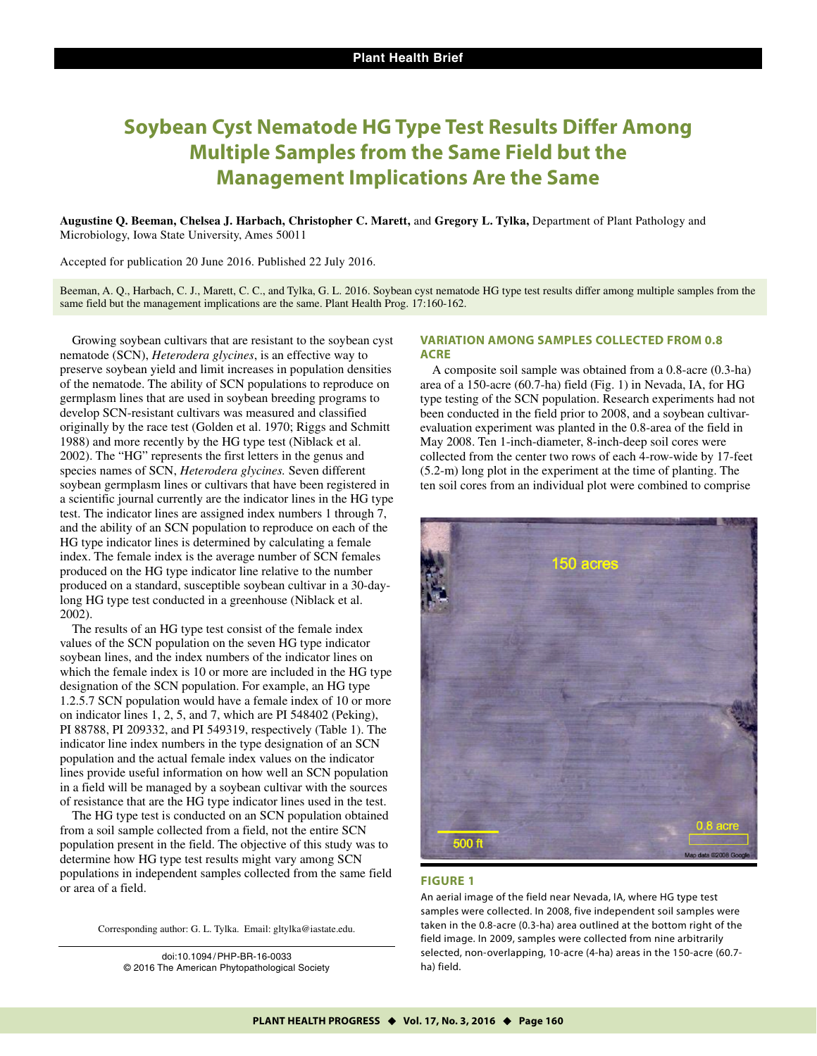# **Soybean Cyst Nematode HG Type Test Results Differ Among Multiple Samples from the Same Field but the Management Implications Are the Same**

**Augustine Q. Beeman, Chelsea J. Harbach, Christopher C. Marett,** and **Gregory L. Tylka,** Department of Plant Pathology and Microbiology, Iowa State University, Ames 50011

Accepted for publication 20 June 2016. Published 22 July 2016.

Beeman, A. Q., Harbach, C. J., Marett, C. C., and Tylka, G. L. 2016. Soybean cyst nematode HG type test results differ among multiple samples from the same field but the management implications are the same. Plant Health Prog. 17:160-162.

Growing soybean cultivars that are resistant to the soybean cyst nematode (SCN), *Heterodera glycines*, is an effective way to preserve soybean yield and limit increases in population densities of the nematode. The ability of SCN populations to reproduce on germplasm lines that are used in soybean breeding programs to develop SCN-resistant cultivars was measured and classified originally by the race test (Golden et al. 1970; Riggs and Schmitt 1988) and more recently by the HG type test (Niblack et al. 2002). The "HG" represents the first letters in the genus and species names of SCN, *Heterodera glycines.* Seven different soybean germplasm lines or cultivars that have been registered in a scientific journal currently are the indicator lines in the HG type test. The indicator lines are assigned index numbers 1 through 7, and the ability of an SCN population to reproduce on each of the HG type indicator lines is determined by calculating a female index. The female index is the average number of SCN females produced on the HG type indicator line relative to the number produced on a standard, susceptible soybean cultivar in a 30-daylong HG type test conducted in a greenhouse (Niblack et al. 2002).

The results of an HG type test consist of the female index values of the SCN population on the seven HG type indicator soybean lines, and the index numbers of the indicator lines on which the female index is 10 or more are included in the HG type designation of the SCN population. For example, an HG type 1.2.5.7 SCN population would have a female index of 10 or more on indicator lines 1, 2, 5, and 7, which are PI 548402 (Peking), PI 88788, PI 209332, and PI 549319, respectively (Table 1). The indicator line index numbers in the type designation of an SCN population and the actual female index values on the indicator lines provide useful information on how well an SCN population in a field will be managed by a soybean cultivar with the sources of resistance that are the HG type indicator lines used in the test.

The HG type test is conducted on an SCN population obtained from a soil sample collected from a field, not the entire SCN population present in the field. The objective of this study was to determine how HG type test results might vary among SCN populations in independent samples collected from the same field or area of a field.

Corresponding author: G. L. Tylka. Email: gltylka@iastate.edu.

doi:10.1094/ PHP-BR-16-0033 © 2016 The American Phytopathological Society

## **VARIATION AMONG SAMPLES COLLECTED FROM 0.8 ACRE**

A composite soil sample was obtained from a 0.8-acre (0.3-ha) area of a 150-acre (60.7-ha) field (Fig. 1) in Nevada, IA, for HG type testing of the SCN population. Research experiments had not been conducted in the field prior to 2008, and a soybean cultivarevaluation experiment was planted in the 0.8-area of the field in May 2008. Ten 1-inch-diameter, 8-inch-deep soil cores were collected from the center two rows of each 4-row-wide by 17-feet (5.2-m) long plot in the experiment at the time of planting. The ten soil cores from an individual plot were combined to comprise



## **FIGURE 1**

An aerial image of the field near Nevada, IA, where HG type test samples were collected. In 2008, five independent soil samples were taken in the 0.8-acre (0.3-ha) area outlined at the bottom right of the field image. In 2009, samples were collected from nine arbitrarily selected, non-overlapping, 10-acre (4-ha) areas in the 150-acre (60.7 ha) field.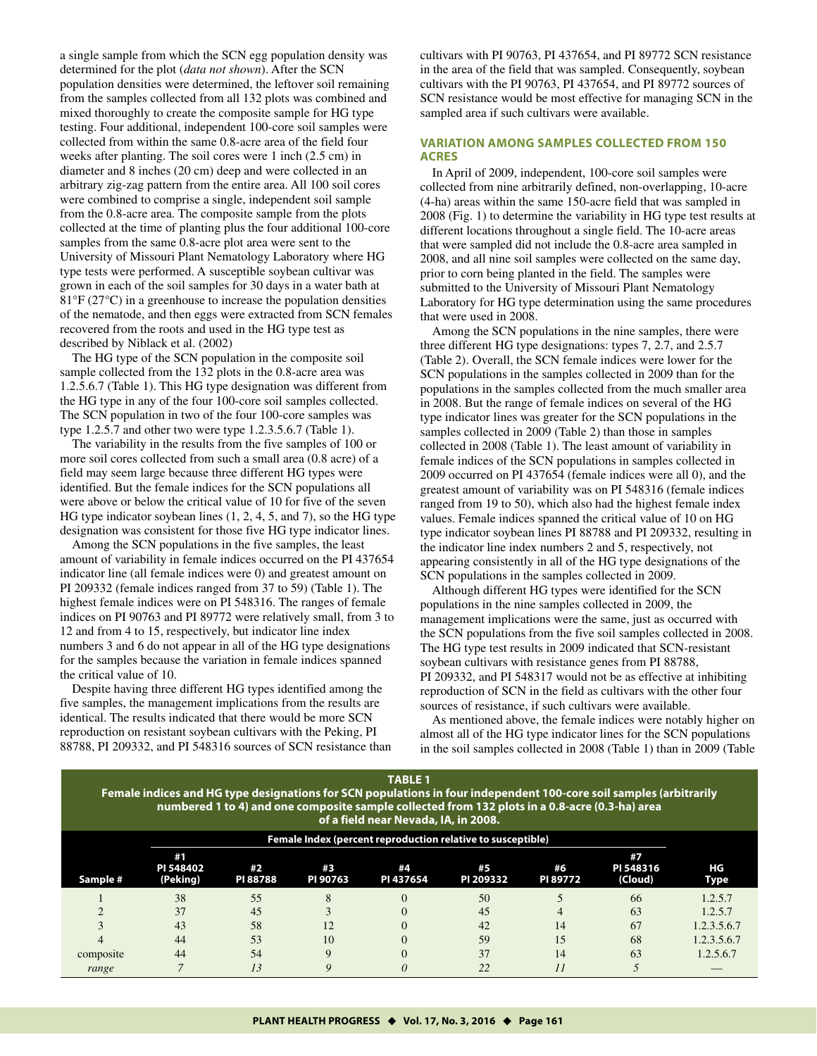a single sample from which the SCN egg population density was determined for the plot (*data not shown*). After the SCN population densities were determined, the leftover soil remaining from the samples collected from all 132 plots was combined and mixed thoroughly to create the composite sample for HG type testing. Four additional, independent 100-core soil samples were collected from within the same 0.8-acre area of the field four weeks after planting. The soil cores were 1 inch (2.5 cm) in diameter and 8 inches (20 cm) deep and were collected in an arbitrary zig-zag pattern from the entire area. All 100 soil cores were combined to comprise a single, independent soil sample from the 0.8-acre area. The composite sample from the plots collected at the time of planting plus the four additional 100-core samples from the same 0.8-acre plot area were sent to the University of Missouri Plant Nematology Laboratory where HG type tests were performed. A susceptible soybean cultivar was grown in each of the soil samples for 30 days in a water bath at 81°F (27°C) in a greenhouse to increase the population densities of the nematode, and then eggs were extracted from SCN females recovered from the roots and used in the HG type test as described by Niblack et al. (2002)

The HG type of the SCN population in the composite soil sample collected from the 132 plots in the 0.8-acre area was 1.2.5.6.7 (Table 1). This HG type designation was different from the HG type in any of the four 100-core soil samples collected. The SCN population in two of the four 100-core samples was type 1.2.5.7 and other two were type 1.2.3.5.6.7 (Table 1).

The variability in the results from the five samples of 100 or more soil cores collected from such a small area (0.8 acre) of a field may seem large because three different HG types were identified. But the female indices for the SCN populations all were above or below the critical value of 10 for five of the seven HG type indicator soybean lines (1, 2, 4, 5, and 7), so the HG type designation was consistent for those five HG type indicator lines.

Among the SCN populations in the five samples, the least amount of variability in female indices occurred on the PI 437654 indicator line (all female indices were 0) and greatest amount on PI 209332 (female indices ranged from 37 to 59) (Table 1). The highest female indices were on PI 548316. The ranges of female indices on PI 90763 and PI 89772 were relatively small, from 3 to 12 and from 4 to 15, respectively, but indicator line index numbers 3 and 6 do not appear in all of the HG type designations for the samples because the variation in female indices spanned the critical value of 10.

Despite having three different HG types identified among the five samples, the management implications from the results are identical. The results indicated that there would be more SCN reproduction on resistant soybean cultivars with the Peking, PI 88788, PI 209332, and PI 548316 sources of SCN resistance than cultivars with PI 90763, PI 437654, and PI 89772 SCN resistance in the area of the field that was sampled. Consequently, soybean cultivars with the PI 90763, PI 437654, and PI 89772 sources of SCN resistance would be most effective for managing SCN in the sampled area if such cultivars were available.

## **VARIATION AMONG SAMPLES COLLECTED FROM 150 ACRES**

In April of 2009, independent, 100-core soil samples were collected from nine arbitrarily defined, non-overlapping, 10-acre (4-ha) areas within the same 150-acre field that was sampled in 2008 (Fig. 1) to determine the variability in HG type test results at different locations throughout a single field. The 10-acre areas that were sampled did not include the 0.8-acre area sampled in 2008, and all nine soil samples were collected on the same day, prior to corn being planted in the field. The samples were submitted to the University of Missouri Plant Nematology Laboratory for HG type determination using the same procedures that were used in 2008.

Among the SCN populations in the nine samples, there were three different HG type designations: types 7, 2.7, and 2.5.7 (Table 2). Overall, the SCN female indices were lower for the SCN populations in the samples collected in 2009 than for the populations in the samples collected from the much smaller area in 2008. But the range of female indices on several of the HG type indicator lines was greater for the SCN populations in the samples collected in 2009 (Table 2) than those in samples collected in 2008 (Table 1). The least amount of variability in female indices of the SCN populations in samples collected in 2009 occurred on PI 437654 (female indices were all 0), and the greatest amount of variability was on PI 548316 (female indices ranged from 19 to 50), which also had the highest female index values. Female indices spanned the critical value of 10 on HG type indicator soybean lines PI 88788 and PI 209332, resulting in the indicator line index numbers 2 and 5, respectively, not appearing consistently in all of the HG type designations of the SCN populations in the samples collected in 2009.

Although different HG types were identified for the SCN populations in the nine samples collected in 2009, the management implications were the same, just as occurred with the SCN populations from the five soil samples collected in 2008. The HG type test results in 2009 indicated that SCN-resistant soybean cultivars with resistance genes from PI 88788, PI 209332, and PI 548317 would not be as effective at inhibiting reproduction of SCN in the field as cultivars with the other four sources of resistance, if such cultivars were available.

As mentioned above, the female indices were notably higher on almost all of the HG type indicator lines for the SCN populations in the soil samples collected in 2008 (Table 1) than in 2009 (Table

**TABLE 1 Female indices and HG type designations for SCN populations in four independent 100-core soil samples (arbitrarily numbered 1 to 4) and one composite sample collected from 132 plots in a 0.8-acre (0.3-ha) area of a field near Nevada, IA, in 2008.** 

|           |                             |                       |                |                 | Female Index (percent reproduction relative to susceptible) |                |                            |             |
|-----------|-----------------------------|-----------------------|----------------|-----------------|-------------------------------------------------------------|----------------|----------------------------|-------------|
| Sample #  | #1<br>PI 548402<br>(Peking) | #2<br><b>PI 88788</b> | #3<br>PI 90763 | #4<br>PI 437654 | #5<br>PI 209332                                             | #6<br>PI 89772 | #7<br>PI 548316<br>(Cloud) | ΗG<br>Type  |
|           | 38                          | 55                    |                |                 | 50                                                          |                | 66                         | 1.2.5.7     |
|           | 37                          | 45                    |                |                 | 45                                                          | 4              | 63                         | 1.2.5.7     |
|           | 43                          | 58                    | 12             |                 | 42                                                          | 14             | 67                         | 1.2.3.5.6.7 |
|           | 44                          | 53                    | 10             |                 | 59                                                          | 15             | 68                         | 1.2.3.5.6.7 |
| composite | 44                          | 54                    |                |                 | 37                                                          | 14             | 63                         | 1.2.5.6.7   |
| range     |                             |                       |                |                 | 22                                                          |                |                            |             |